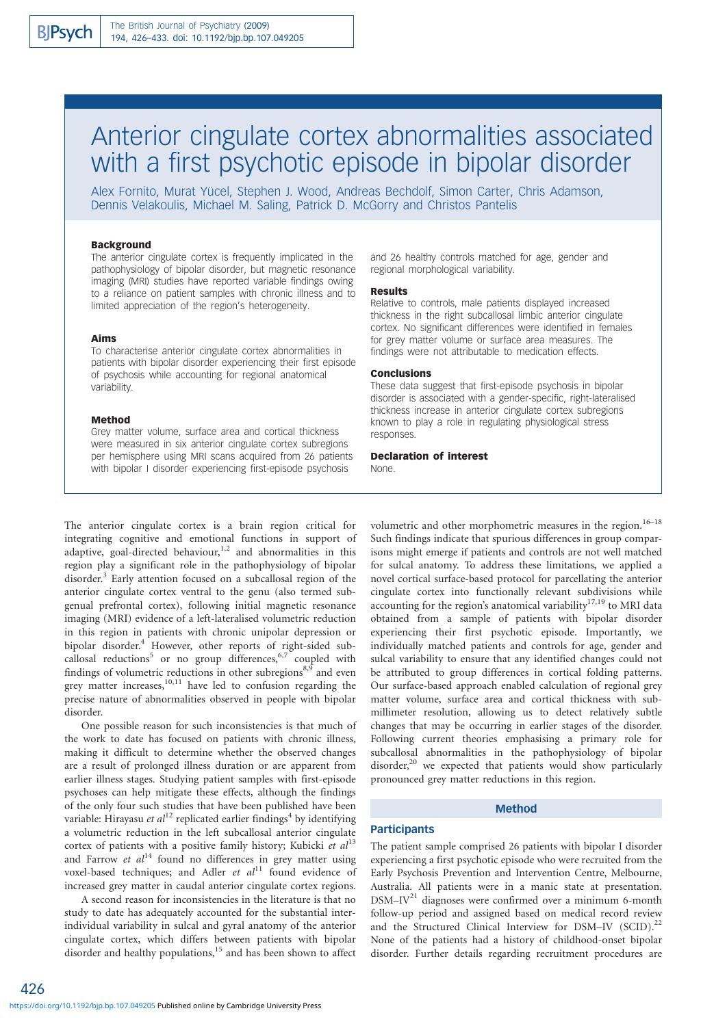# Anterior cingulate cortex abnormalities associated with a first psychotic episode in bipolar disorder

Alex Fornito, Murat Yücel, Stephen J. Wood, Andreas Bechdolf, Simon Carter, Chris Adamson, Dennis Velakoulis, Michael M. Saling, Patrick D. McGorry and Christos Pantelis

## **Background**

The anterior cingulate cortex is frequently implicated in the pathophysiology of bipolar disorder, but magnetic resonance imaging (MRI) studies have reported variable findings owing to a reliance on patient samples with chronic illness and to limited appreciation of the region's heterogeneity.

#### Aims

To characterise anterior cingulate cortex abnormalities in patients with bipolar disorder experiencing their first episode of psychosis while accounting for regional anatomical variability.

## Method

Grey matter volume, surface area and cortical thickness were measured in six anterior cingulate cortex subregions per hemisphere using MRI scans acquired from 26 patients with bipolar I disorder experiencing first-episode psychosis

and 26 healthy controls matched for age, gender and regional morphological variability.

#### Results

Relative to controls, male patients displayed increased thickness in the right subcallosal limbic anterior cingulate cortex. No significant differences were identified in females for grey matter volume or surface area measures. The findings were not attributable to medication effects.

#### Conclusions

These data suggest that first-episode psychosis in bipolar disorder is associated with a gender-specific, right-lateralised thickness increase in anterior cingulate cortex subregions known to play a role in regulating physiological stress responses.

## Declaration of interest

None.

The anterior cingulate cortex is a brain region critical for integrating cognitive and emotional functions in support of adaptive, goal-directed behaviour,<sup>1,2</sup> and abnormalities in this region play a significant role in the pathophysiology of bipolar disorder.<sup>3</sup> Early attention focused on a subcallosal region of the anterior cingulate cortex ventral to the genu (also termed subgenual prefrontal cortex), following initial magnetic resonance imaging (MRI) evidence of a left-lateralised volumetric reduction in this region in patients with chronic unipolar depression or bipolar disorder.<sup>4</sup> However, other reports of right-sided subcallosal reductions<sup>5</sup> or no group differences,  $6,7$  coupled with findings of volumetric reductions in other subregions<sup>8,9</sup> and even grey matter increases, $10,11$  have led to confusion regarding the precise nature of abnormalities observed in people with bipolar disorder.

One possible reason for such inconsistencies is that much of the work to date has focused on patients with chronic illness, making it difficult to determine whether the observed changes are a result of prolonged illness duration or are apparent from earlier illness stages. Studying patient samples with first-episode psychoses can help mitigate these effects, although the findings of the only four such studies that have been published have been variable: Hirayasu et  $al^{12}$  replicated earlier findings<sup>4</sup> by identifying a volumetric reduction in the left subcallosal anterior cingulate cortex of patients with a positive family history; Kubicki et  $al<sup>13</sup>$ and Farrow et  $al^{14}$  found no differences in grey matter using voxel-based techniques; and Adler et  $al<sup>11</sup>$  found evidence of increased grey matter in caudal anterior cingulate cortex regions.

A second reason for inconsistencies in the literature is that no study to date has adequately accounted for the substantial interindividual variability in sulcal and gyral anatomy of the anterior cingulate cortex, which differs between patients with bipolar disorder and healthy populations,<sup>15</sup> and has been shown to affect

volumetric and other morphometric measures in the region.<sup>16–18</sup> Such findings indicate that spurious differences in group comparisons might emerge if patients and controls are not well matched for sulcal anatomy. To address these limitations, we applied a novel cortical surface-based protocol for parcellating the anterior cingulate cortex into functionally relevant subdivisions while accounting for the region's anatomical variability $17,19$  to MRI data obtained from a sample of patients with bipolar disorder experiencing their first psychotic episode. Importantly, we individually matched patients and controls for age, gender and sulcal variability to ensure that any identified changes could not be attributed to group differences in cortical folding patterns. Our surface-based approach enabled calculation of regional grey matter volume, surface area and cortical thickness with submillimeter resolution, allowing us to detect relatively subtle changes that may be occurring in earlier stages of the disorder. Following current theories emphasising a primary role for subcallosal abnormalities in the pathophysiology of bipolar disorder,<sup>20</sup> we expected that patients would show particularly pronounced grey matter reductions in this region.

# Method

## **Participants**

The patient sample comprised 26 patients with bipolar I disorder experiencing a first psychotic episode who were recruited from the Early Psychosis Prevention and Intervention Centre, Melbourne, Australia. All patients were in a manic state at presentation.  $DSM-IV<sup>21</sup>$  diagnoses were confirmed over a minimum 6-month follow-up period and assigned based on medical record review and the Structured Clinical Interview for DSM-IV (SCID).<sup>22</sup> None of the patients had a history of childhood-onset bipolar disorder. Further details regarding recruitment procedures are

426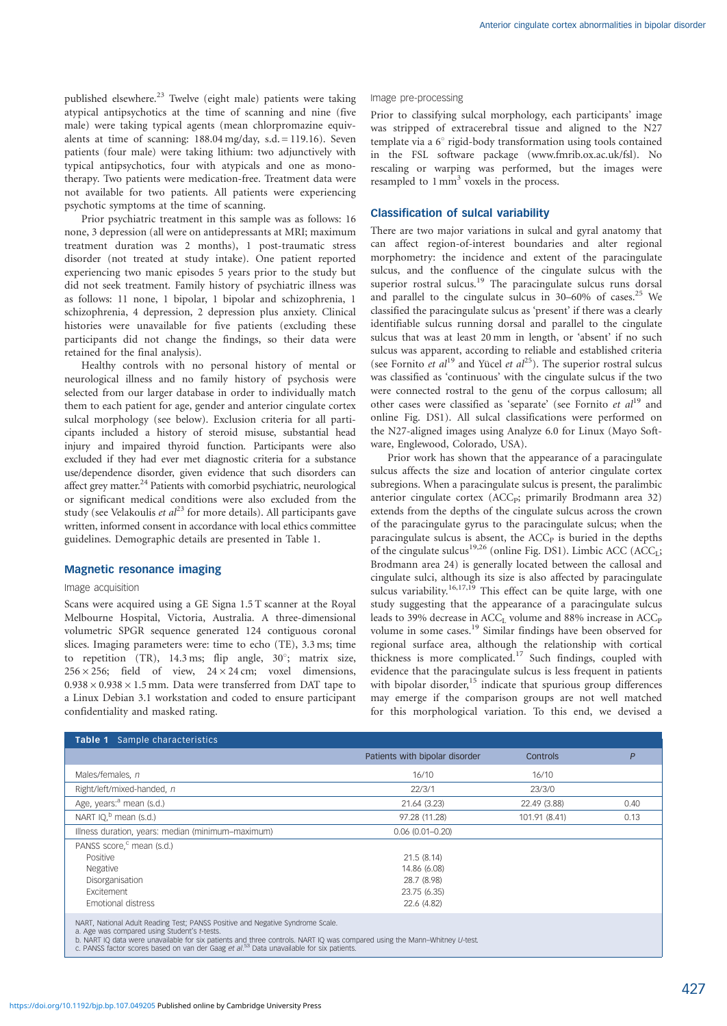published elsewhere.<sup>23</sup> Twelve (eight male) patients were taking atypical antipsychotics at the time of scanning and nine (five male) were taking typical agents (mean chlorpromazine equivalents at time of scanning:  $188.04 \text{ mg/day}, \text{ s.d.} = 119.16$ ). Seven patients (four male) were taking lithium: two adjunctively with typical antipsychotics, four with atypicals and one as monotherapy. Two patients were medication-free. Treatment data were not available for two patients. All patients were experiencing psychotic symptoms at the time of scanning.

Prior psychiatric treatment in this sample was as follows: 16 none, 3 depression (all were on antidepressants at MRI; maximum treatment duration was 2 months), 1 post-traumatic stress disorder (not treated at study intake). One patient reported experiencing two manic episodes 5 years prior to the study but did not seek treatment. Family history of psychiatric illness was as follows: 11 none, 1 bipolar, 1 bipolar and schizophrenia, 1 schizophrenia, 4 depression, 2 depression plus anxiety. Clinical histories were unavailable for five patients (excluding these participants did not change the findings, so their data were retained for the final analysis).

Healthy controls with no personal history of mental or neurological illness and no family history of psychosis were selected from our larger database in order to individually match them to each patient for age, gender and anterior cingulate cortex sulcal morphology (see below). Exclusion criteria for all participants included a history of steroid misuse, substantial head injury and impaired thyroid function. Participants were also excluded if they had ever met diagnostic criteria for a substance use/dependence disorder, given evidence that such disorders can affect grey matter. $^{24}$  Patients with comorbid psychiatric, neurological or significant medical conditions were also excluded from the study (see Velakoulis et  $al^{23}$  for more details). All participants gave written, informed consent in accordance with local ethics committee guidelines. Demographic details are presented in Table 1.

## Magnetic resonance imaging

#### Image acquisition

Scans were acquired using a GE Signa 1.5 T scanner at the Royal Melbourne Hospital, Victoria, Australia. A three-dimensional volumetric SPGR sequence generated 124 contiguous coronal slices. Imaging parameters were: time to echo (TE), 3.3 ms; time to repetition (TR), 14.3 ms; flip angle,  $30^\circ$ ; matrix size,  $256 \times 256$ ; field of view,  $24 \times 24$  cm; voxel dimensions,  $0.938 \times 0.938 \times 1.5$  mm. Data were transferred from DAT tape to a Linux Debian 3.1 workstation and coded to ensure participant confidentiality and masked rating.

#### Image pre-processing

Prior to classifying sulcal morphology, each participants' image was stripped of extracerebral tissue and aligned to the N27 template via a  $6^\circ$  rigid-body transformation using tools contained in the FSL software package (www.fmrib.ox.ac.uk/fsl). No rescaling or warping was performed, but the images were resampled to  $1 \text{ mm}^3$  voxels in the process.

## Classification of sulcal variability

There are two major variations in sulcal and gyral anatomy that can affect region-of-interest boundaries and alter regional morphometry: the incidence and extent of the paracingulate sulcus, and the confluence of the cingulate sulcus with the superior rostral sulcus.<sup>19</sup> The paracingulate sulcus runs dorsal and parallel to the cingulate sulcus in  $30-60\%$  of cases.<sup>25</sup> We classified the paracingulate sulcus as 'present' if there was a clearly identifiable sulcus running dorsal and parallel to the cingulate sulcus that was at least 20 mm in length, or 'absent' if no such sulcus was apparent, according to reliable and established criteria (see Fornito et  $al^{19}$  and Yücel et  $al^{25}$ ). The superior rostral sulcus was classified as 'continuous' with the cingulate sulcus if the two were connected rostral to the genu of the corpus callosum; all other cases were classified as 'separate' (see Fornito  $et al<sup>19</sup>$  and online Fig. DS1). All sulcal classifications were performed on the N27-aligned images using Analyze 6.0 for Linux (Mayo Software, Englewood, Colorado, USA).

Prior work has shown that the appearance of a paracingulate sulcus affects the size and location of anterior cingulate cortex subregions. When a paracingulate sulcus is present, the paralimbic anterior cingulate cortex (ACC<sub>P</sub>; primarily Brodmann area 32) extends from the depths of the cingulate sulcus across the crown of the paracingulate gyrus to the paracingulate sulcus; when the paracingulate sulcus is absent, the  $ACC<sub>P</sub>$  is buried in the depths of the cingulate sulcus<sup>19,26</sup> (online Fig. DS1). Limbic ACC (ACC<sub>L</sub>; Brodmann area 24) is generally located between the callosal and cingulate sulci, although its size is also affected by paracingulate sulcus variability.<sup>16,17,19</sup> This effect can be quite large, with one study suggesting that the appearance of a paracingulate sulcus leads to 39% decrease in  $ACC_{L}$  volume and 88% increase in  $ACC_{P}$ volume in some cases.<sup>19</sup> Similar findings have been observed for regional surface area, although the relationship with cortical thickness is more complicated.<sup>17</sup> Such findings, coupled with evidence that the paracingulate sulcus is less frequent in patients with bipolar disorder,<sup>15</sup> indicate that spurious group differences may emerge if the comparison groups are not well matched for this morphological variation. To this end, we devised a

| Sample characteristics<br>Table 1                                                                                                                                                                                                                                                                                                                                   |                                |               |      |
|---------------------------------------------------------------------------------------------------------------------------------------------------------------------------------------------------------------------------------------------------------------------------------------------------------------------------------------------------------------------|--------------------------------|---------------|------|
|                                                                                                                                                                                                                                                                                                                                                                     | Patients with bipolar disorder | Controls      | P    |
| Males/females, n                                                                                                                                                                                                                                                                                                                                                    | 16/10                          | 16/10         |      |
| Right/left/mixed-handed, n                                                                                                                                                                                                                                                                                                                                          | 22/3/1                         | 23/3/0        |      |
| Age, years: <sup>a</sup> mean (s.d.)                                                                                                                                                                                                                                                                                                                                | 21.64 (3.23)                   | 22.49 (3.88)  | 0.40 |
| NART $IQ, b$ mean (s.d.)                                                                                                                                                                                                                                                                                                                                            | 97.28 (11.28)                  | 101.91 (8.41) | 0.13 |
| Illness duration, years: median (minimum-maximum)                                                                                                                                                                                                                                                                                                                   | $0.06(0.01 - 0.20)$            |               |      |
| PANSS score, <sup>c</sup> mean (s.d.)                                                                                                                                                                                                                                                                                                                               |                                |               |      |
| Positive                                                                                                                                                                                                                                                                                                                                                            | 21.5(8.14)                     |               |      |
| <b>Negative</b>                                                                                                                                                                                                                                                                                                                                                     | 14.86 (6.08)                   |               |      |
| Disorganisation                                                                                                                                                                                                                                                                                                                                                     | 28.7 (8.98)                    |               |      |
| <b>Fxcitement</b>                                                                                                                                                                                                                                                                                                                                                   | 23.75 (6.35)                   |               |      |
| Emotional distress                                                                                                                                                                                                                                                                                                                                                  | 22.6 (4.82)                    |               |      |
| NART, National Adult Reading Test; PANSS Positive and Negative Syndrome Scale.<br>a. Age was compared using Student's t-tests.<br>b. NART IQ data were unavailable for six patients and three controls. NART IQ was compared using the Mann-Whitney U-test.<br>c. PANSS factor scores based on van der Gaag et al. <sup>53</sup> Data unavailable for six patients. |                                |               |      |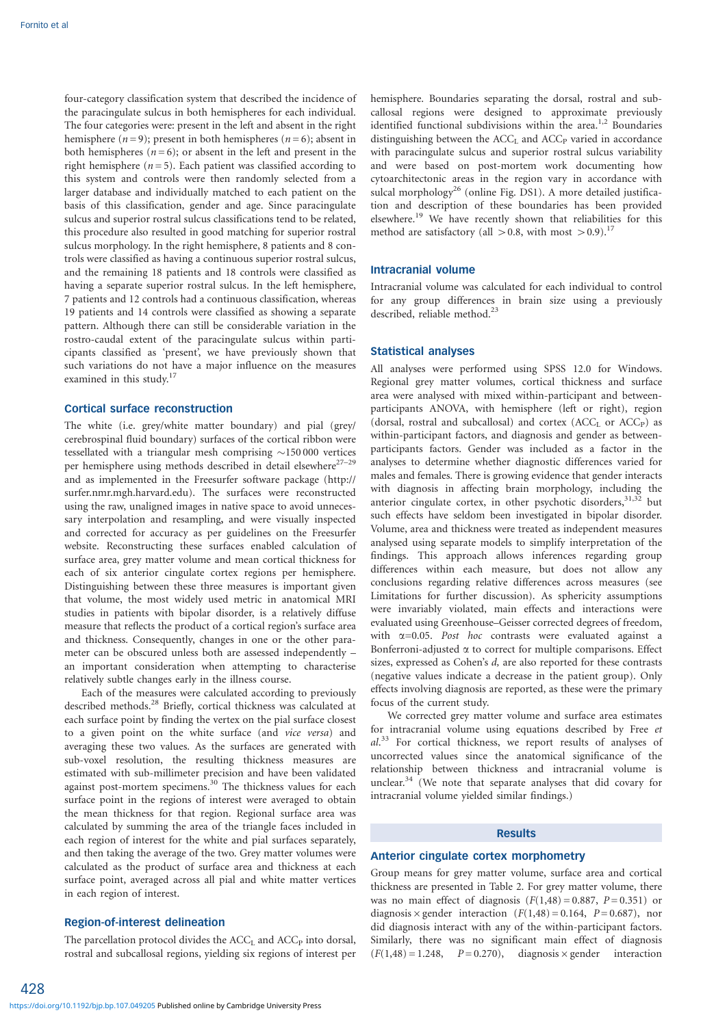four-category classification system that described the incidence of the paracingulate sulcus in both hemispheres for each individual. The four categories were: present in the left and absent in the right hemisphere ( $n = 9$ ); present in both hemispheres ( $n = 6$ ); absent in both hemispheres  $(n = 6)$ ; or absent in the left and present in the right hemisphere ( $n = 5$ ). Each patient was classified according to this system and controls were then randomly selected from a larger database and individually matched to each patient on the basis of this classification, gender and age. Since paracingulate sulcus and superior rostral sulcus classifications tend to be related, this procedure also resulted in good matching for superior rostral sulcus morphology. In the right hemisphere, 8 patients and 8 controls were classified as having a continuous superior rostral sulcus, and the remaining 18 patients and 18 controls were classified as having a separate superior rostral sulcus. In the left hemisphere, 7 patients and 12 controls had a continuous classification, whereas 19 patients and 14 controls were classified as showing a separate pattern. Although there can still be considerable variation in the rostro-caudal extent of the paracingulate sulcus within participants classified as 'present', we have previously shown that such variations do not have a major influence on the measures examined in this study.<sup>17</sup>

# Cortical surface reconstruction

The white (i.e. grey/white matter boundary) and pial (grey/ cerebrospinal fluid boundary) surfaces of the cortical ribbon were tessellated with a triangular mesh comprising  $\sim$ 150 000 vertices per hemisphere using methods described in detail elsewhere<sup>27–29</sup> and as implemented in the Freesurfer software package (http:// surfer.nmr.mgh.harvard.edu). The surfaces were reconstructed using the raw, unaligned images in native space to avoid unnecessary interpolation and resampling*,* and were visually inspected and corrected for accuracy as per guidelines on the Freesurfer website. Reconstructing these surfaces enabled calculation of surface area, grey matter volume and mean cortical thickness for each of six anterior cingulate cortex regions per hemisphere. Distinguishing between these three measures is important given that volume, the most widely used metric in anatomical MRI studies in patients with bipolar disorder, is a relatively diffuse measure that reflects the product of a cortical region's surface area and thickness. Consequently, changes in one or the other parameter can be obscured unless both are assessed independently – an important consideration when attempting to characterise relatively subtle changes early in the illness course.

Each of the measures were calculated according to previously described methods.<sup>28</sup> Briefly, cortical thickness was calculated at each surface point by finding the vertex on the pial surface closest to a given point on the white surface (and vice versa) and averaging these two values. As the surfaces are generated with sub-voxel resolution, the resulting thickness measures are estimated with sub-millimeter precision and have been validated against post-mortem specimens.<sup>30</sup> The thickness values for each surface point in the regions of interest were averaged to obtain the mean thickness for that region. Regional surface area was calculated by summing the area of the triangle faces included in each region of interest for the white and pial surfaces separately, and then taking the average of the two. Grey matter volumes were calculated as the product of surface area and thickness at each surface point, averaged across all pial and white matter vertices in each region of interest.

## Region-of-interest delineation

428

The parcellation protocol divides the  $ACC<sub>L</sub>$  and  $ACC<sub>P</sub>$  into dorsal, rostral and subcallosal regions, yielding six regions of interest per hemisphere. Boundaries separating the dorsal, rostral and subcallosal regions were designed to approximate previously identified functional subdivisions within the area.<sup>1,2</sup> Boundaries distinguishing between the  $ACC<sub>L</sub>$  and  $ACC<sub>P</sub>$  varied in accordance with paracingulate sulcus and superior rostral sulcus variability and were based on post-mortem work documenting how cytoarchitectonic areas in the region vary in accordance with sulcal morphology<sup>26</sup> (online Fig. DS1). A more detailed justification and description of these boundaries has been provided elsewhere.<sup>19</sup> We have recently shown that reliabilities for this method are satisfactory (all  $> 0.8$ , with most  $> 0.9$ ).<sup>17</sup>

## Intracranial volume

Intracranial volume was calculated for each individual to control for any group differences in brain size using a previously described, reliable method.<sup>23</sup>

## Statistical analyses

All analyses were performed using SPSS 12.0 for Windows. Regional grey matter volumes, cortical thickness and surface area were analysed with mixed within-participant and betweenparticipants ANOVA, with hemisphere (left or right), region (dorsal, rostral and subcallosal) and cortex  $(ACC<sub>L</sub>$  or  $ACC<sub>P</sub>)$  as within-participant factors, and diagnosis and gender as betweenparticipants factors. Gender was included as a factor in the analyses to determine whether diagnostic differences varied for males and females. There is growing evidence that gender interacts with diagnosis in affecting brain morphology, including the anterior cingulate cortex, in other psychotic disorders,<sup>31,32</sup> but such effects have seldom been investigated in bipolar disorder. Volume, area and thickness were treated as independent measures analysed using separate models to simplify interpretation of the findings. This approach allows inferences regarding group differences within each measure, but does not allow any conclusions regarding relative differences across measures (see Limitations for further discussion). As sphericity assumptions were invariably violated, main effects and interactions were evaluated using Greenhouse–Geisser corrected degrees of freedom, with  $\alpha$ =0.05. Post hoc contrasts were evaluated against a Bonferroni-adjusted  $\alpha$  to correct for multiple comparisons. Effect sizes, expressed as Cohen's d, are also reported for these contrasts (negative values indicate a decrease in the patient group). Only effects involving diagnosis are reported, as these were the primary focus of the current study.

We corrected grey matter volume and surface area estimates for intracranial volume using equations described by Free et al.<sup>33</sup> For cortical thickness, we report results of analyses of uncorrected values since the anatomical significance of the relationship between thickness and intracranial volume is unclear.<sup>34</sup> (We note that separate analyses that did covary for intracranial volume yielded similar findings.)

## Results

## Anterior cingulate cortex morphometry

Group means for grey matter volume, surface area and cortical thickness are presented in Table 2. For grey matter volume, there was no main effect of diagnosis  $(F(1,48) = 0.887, P = 0.351)$  or diagnosis  $\times$  gender interaction (F(1,48) = 0.164, P= 0.687), nor did diagnosis interact with any of the within-participant factors. Similarly, there was no significant main effect of diagnosis  $(F(1,48) = 1.248, P = 0.270), \text{diagnostic} \times \text{gender} \text{interaction}$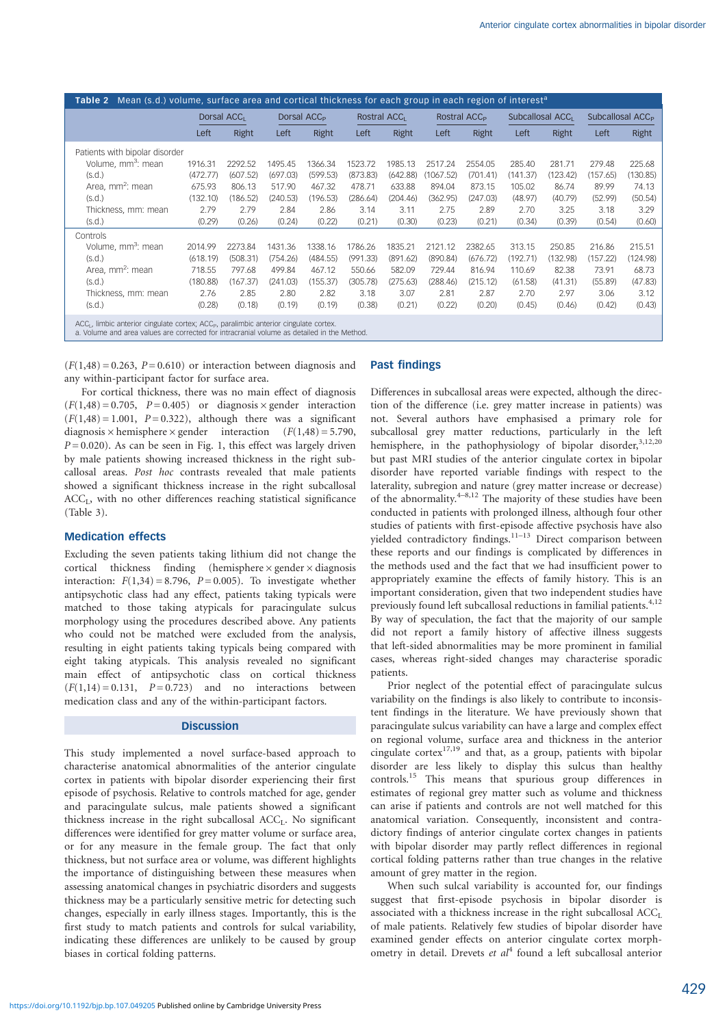| Mean (s.d.) volume, surface area and cortical thickness for each group in each region of interest <sup>a</sup><br>Table 2                                                               |                                                    |          |                          |          |                          |          |                              |          |                              |          |          |          |
|-----------------------------------------------------------------------------------------------------------------------------------------------------------------------------------------|----------------------------------------------------|----------|--------------------------|----------|--------------------------|----------|------------------------------|----------|------------------------------|----------|----------|----------|
|                                                                                                                                                                                         | Dorsal ACC <sub>1</sub><br>Dorsal ACC <sub>P</sub> |          | Rostral ACC <sub>1</sub> |          | Rostral ACC <sub>P</sub> |          | Subcallosal ACC <sub>1</sub> |          | Subcallosal ACC <sub>P</sub> |          |          |          |
|                                                                                                                                                                                         | Left                                               | Right    | Left                     | Right    | Left                     | Right    | Left                         | Right    | Left                         | Right    | Left     | Right    |
| Patients with bipolar disorder                                                                                                                                                          |                                                    |          |                          |          |                          |          |                              |          |                              |          |          |          |
| Volume, mm <sup>3</sup> ; mean                                                                                                                                                          | 1916.31                                            | 2292.52  | 1495.45                  | 1366.34  | 1523.72                  | 1985.13  | 2517.24                      | 2554.05  | 285.40                       | 281.71   | 279.48   | 225.68   |
| (S.d.)                                                                                                                                                                                  | (472.77)                                           | (607.52) | (697.03)                 | (599.53) | (873.83)                 | (642.88) | (1067.52)                    | (701.41) | (141.37)                     | (123.42) | (157.65) | (130.85) |
| Area, mm <sup>2</sup> : mean                                                                                                                                                            | 675.93                                             | 806.13   | 517.90                   | 467.32   | 478.71                   | 633.88   | 894.04                       | 873.15   | 105.02                       | 86.74    | 89.99    | 74.13    |
| (S.d.)                                                                                                                                                                                  | (132.10)                                           | (186.52) | (240.53)                 | (196.53) | (286.64)                 | (204.46) | (362.95)                     | (247.03) | (48.97)                      | (40.79)  | (52.99)  | (50.54)  |
| Thickness, mm: mean                                                                                                                                                                     | 2.79                                               | 2.79     | 2.84                     | 2.86     | 3.14                     | 3.11     | 2.75                         | 2.89     | 2.70                         | 3.25     | 3.18     | 3.29     |
| (S.d.)                                                                                                                                                                                  | (0.29)                                             | (0.26)   | (0.24)                   | (0.22)   | (0.21)                   | (0.30)   | (0.23)                       | (0.21)   | (0.34)                       | (0.39)   | (0.54)   | (0.60)   |
| Controls                                                                                                                                                                                |                                                    |          |                          |          |                          |          |                              |          |                              |          |          |          |
| Volume, mm <sup>3</sup> : mean                                                                                                                                                          | 2014.99                                            | 2273.84  | 1431.36                  | 1338.16  | 1786.26                  | 1835.21  | 2121.12                      | 2382.65  | 313.15                       | 250.85   | 216.86   | 215.51   |
| (S.d.)                                                                                                                                                                                  | (618.19)                                           | (508.31) | (754.26)                 | (484.55) | (991.33)                 | (891.62) | (890.84)                     | (676.72) | (192.71)                     | (132.98) | (157.22) | (124.98) |
| Area, mm <sup>2</sup> : mean                                                                                                                                                            | 718.55                                             | 797.68   | 499.84                   | 467.12   | 550.66                   | 582.09   | 729.44                       | 816.94   | 110.69                       | 82.38    | 73.91    | 68.73    |
| (s.d.)                                                                                                                                                                                  | (180.88)                                           | (167.37) | (241.03)                 | (155.37) | (305.78)                 | (275.63) | (288.46)                     | (215.12) | (61.58)                      | (41.31)  | (55.89)  | (47.83)  |
| Thickness, mm: mean                                                                                                                                                                     | 2.76                                               | 2.85     | 2.80                     | 2.82     | 3.18                     | 3.07     | 2.81                         | 2.87     | 2.70                         | 2.97     | 3.06     | 3.12     |
| (S.d.)                                                                                                                                                                                  | (0.28)                                             | (0.18)   | (0.19)                   | (0.19)   | (0.38)                   | (0.21)   | (0.22)                       | (0.20)   | (0.45)                       | (0.46)   | (0.42)   | (0.43)   |
| $ACC1$ , limbic anterior cingulate cortex; $ACCP$ , paralimbic anterior cingulate cortex.<br>a. Volume and area values are corrected for intracranial volume as detailed in the Method. |                                                    |          |                          |          |                          |          |                              |          |                              |          |          |          |

 $(F(1,48) = 0.263, P = 0.610)$  or interaction between diagnosis and any within-participant factor for surface area.

## Past findings

For cortical thickness, there was no main effect of diagnosis  $(F(1,48) = 0.705, P = 0.405)$  or diagnosis  $\times$  gender interaction  $(F(1,48) = 1.001, P = 0.322)$ , although there was a significant diagnosis  $\times$  hemisphere  $\times$  gender interaction  $(F(1,48) = 5.790,$  $P = 0.020$ ). As can be seen in Fig. 1, this effect was largely driven by male patients showing increased thickness in the right subcallosal areas. Post hoc contrasts revealed that male patients showed a significant thickness increase in the right subcallosal  $ACC<sub>L</sub>$ , with no other differences reaching statistical significance (Table 3).

## Medication effects

Excluding the seven patients taking lithium did not change the cortical thickness finding (hemisphere  $\times$  gender  $\times$  diagnosis interaction:  $F(1,34) = 8.796$ ,  $P = 0.005$ ). To investigate whether antipsychotic class had any effect, patients taking typicals were matched to those taking atypicals for paracingulate sulcus morphology using the procedures described above. Any patients who could not be matched were excluded from the analysis, resulting in eight patients taking typicals being compared with eight taking atypicals. This analysis revealed no significant main effect of antipsychotic class on cortical thickness  $(F(1,14) = 0.131, P = 0.723)$  and no interactions between medication class and any of the within-participant factors.

# **Discussion**

This study implemented a novel surface-based approach to characterise anatomical abnormalities of the anterior cingulate cortex in patients with bipolar disorder experiencing their first episode of psychosis. Relative to controls matched for age, gender and paracingulate sulcus, male patients showed a significant thickness increase in the right subcallosal  $ACC<sub>L</sub>$ . No significant differences were identified for grey matter volume or surface area, or for any measure in the female group. The fact that only thickness, but not surface area or volume, was different highlights the importance of distinguishing between these measures when assessing anatomical changes in psychiatric disorders and suggests thickness may be a particularly sensitive metric for detecting such changes, especially in early illness stages. Importantly, this is the first study to match patients and controls for sulcal variability, indicating these differences are unlikely to be caused by group biases in cortical folding patterns.

Differences in subcallosal areas were expected, although the direction of the difference (i.e. grey matter increase in patients) was not. Several authors have emphasised a primary role for subcallosal grey matter reductions, particularly in the left hemisphere, in the pathophysiology of bipolar disorder,<sup>3,12,20</sup> but past MRI studies of the anterior cingulate cortex in bipolar disorder have reported variable findings with respect to the laterality, subregion and nature (grey matter increase or decrease) of the abnormality. $4-8,12$  The majority of these studies have been conducted in patients with prolonged illness, although four other studies of patients with first-episode affective psychosis have also yielded contradictory findings.<sup>11-13</sup> Direct comparison between these reports and our findings is complicated by differences in the methods used and the fact that we had insufficient power to appropriately examine the effects of family history. This is an important consideration, given that two independent studies have previously found left subcallosal reductions in familial patients.<sup>4,12</sup> By way of speculation, the fact that the majority of our sample did not report a family history of affective illness suggests that left-sided abnormalities may be more prominent in familial cases, whereas right-sided changes may characterise sporadic patients.

Prior neglect of the potential effect of paracingulate sulcus variability on the findings is also likely to contribute to inconsistent findings in the literature. We have previously shown that paracingulate sulcus variability can have a large and complex effect on regional volume, surface area and thickness in the anterior cingulate cortex17,19 and that, as a group, patients with bipolar disorder are less likely to display this sulcus than healthy controls.15 This means that spurious group differences in estimates of regional grey matter such as volume and thickness can arise if patients and controls are not well matched for this anatomical variation. Consequently, inconsistent and contradictory findings of anterior cingulate cortex changes in patients with bipolar disorder may partly reflect differences in regional cortical folding patterns rather than true changes in the relative amount of grey matter in the region.

When such sulcal variability is accounted for, our findings suggest that first-episode psychosis in bipolar disorder is associated with a thickness increase in the right subcallosal  $ACC<sub>L</sub>$ of male patients. Relatively few studies of bipolar disorder have examined gender effects on anterior cingulate cortex morphometry in detail. Drevets et  $al<sup>4</sup>$  found a left subcallosal anterior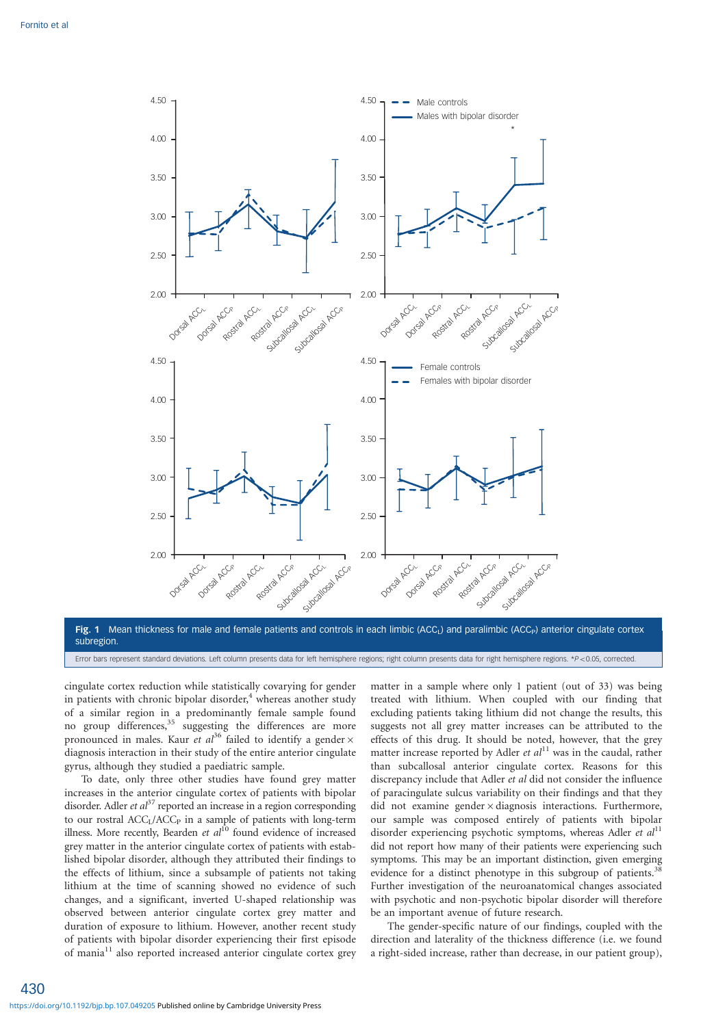

subregion. Error bars represent standard deviations. Left column presents data for left hemisphere regions; right column presents data for right hemisphere regions. \*P<0.05, corrected.

cingulate cortex reduction while statistically covarying for gender in patients with chronic bipolar disorder, $4$  whereas another study of a similar region in a predominantly female sample found no group differences,<sup>35</sup> suggesting the differences are more pronounced in males. Kaur et  $al^{36}$  failed to identify a gender  $\times$ diagnosis interaction in their study of the entire anterior cingulate gyrus, although they studied a paediatric sample.

To date, only three other studies have found grey matter increases in the anterior cingulate cortex of patients with bipolar disorder. Adler *et al*<sup>37</sup> reported an increase in a region corresponding to our rostral ACC<sub>L</sub>/ACC<sub>P</sub> in a sample of patients with long-term illness. More recently, Bearden et  $al<sup>10</sup>$  found evidence of increased grey matter in the anterior cingulate cortex of patients with established bipolar disorder, although they attributed their findings to the effects of lithium, since a subsample of patients not taking lithium at the time of scanning showed no evidence of such changes, and a significant, inverted U-shaped relationship was observed between anterior cingulate cortex grey matter and duration of exposure to lithium. However, another recent study of patients with bipolar disorder experiencing their first episode of mania<sup>11</sup> also reported increased anterior cingulate cortex grey matter in a sample where only 1 patient (out of 33) was being treated with lithium. When coupled with our finding that excluding patients taking lithium did not change the results, this suggests not all grey matter increases can be attributed to the effects of this drug. It should be noted, however, that the grey matter increase reported by Adler et  $al<sup>11</sup>$  was in the caudal, rather than subcallosal anterior cingulate cortex. Reasons for this discrepancy include that Adler et al did not consider the influence of paracingulate sulcus variability on their findings and that they did not examine gender  $\times$  diagnosis interactions. Furthermore, our sample was composed entirely of patients with bipolar disorder experiencing psychotic symptoms, whereas Adler et  $al<sup>11</sup>$ did not report how many of their patients were experiencing such symptoms. This may be an important distinction, given emerging evidence for a distinct phenotype in this subgroup of patients.<sup>38</sup> Further investigation of the neuroanatomical changes associated with psychotic and non-psychotic bipolar disorder will therefore be an important avenue of future research.

The gender-specific nature of our findings, coupled with the direction and laterality of the thickness difference (i.e. we found a right-sided increase, rather than decrease, in our patient group),

430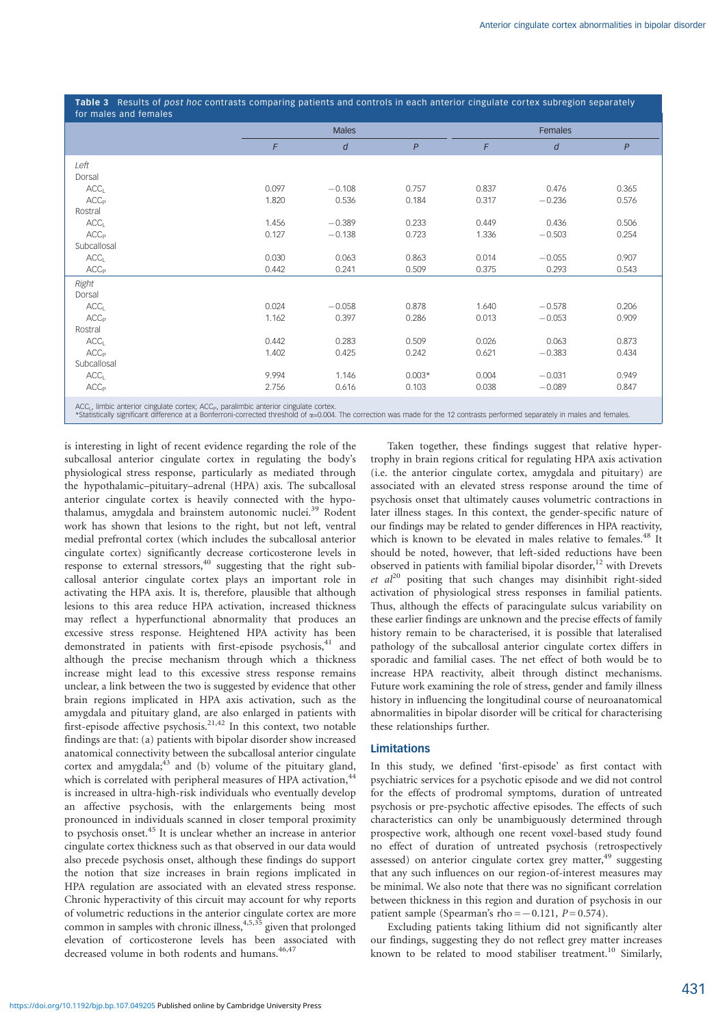Table 3 Results of post hoc contrasts comparing patients and controls in each anterior cingulate cortex subregion separately for males and females

|                                                                                                                                                                                                                                                                                                        | <b>Males</b> |          |              | Females |          |       |  |
|--------------------------------------------------------------------------------------------------------------------------------------------------------------------------------------------------------------------------------------------------------------------------------------------------------|--------------|----------|--------------|---------|----------|-------|--|
|                                                                                                                                                                                                                                                                                                        | F            | d        | $\mathsf{P}$ | F       | d        | P     |  |
| Left                                                                                                                                                                                                                                                                                                   |              |          |              |         |          |       |  |
| Dorsal                                                                                                                                                                                                                                                                                                 |              |          |              |         |          |       |  |
| ACC <sub>1</sub>                                                                                                                                                                                                                                                                                       | 0.097        | $-0.108$ | 0.757        | 0.837   | 0.476    | 0.365 |  |
| ACC <sub>P</sub>                                                                                                                                                                                                                                                                                       | 1.820        | 0.536    | 0.184        | 0.317   | $-0.236$ | 0.576 |  |
| Rostral                                                                                                                                                                                                                                                                                                |              |          |              |         |          |       |  |
| ACC <sub>1</sub>                                                                                                                                                                                                                                                                                       | 1.456        | $-0.389$ | 0.233        | 0.449   | 0.436    | 0.506 |  |
| ACC <sub>P</sub>                                                                                                                                                                                                                                                                                       | 0.127        | $-0.138$ | 0.723        | 1.336   | $-0.503$ | 0.254 |  |
| Subcallosal                                                                                                                                                                                                                                                                                            |              |          |              |         |          |       |  |
| ACC <sub>1</sub>                                                                                                                                                                                                                                                                                       | 0.030        | 0.063    | 0.863        | 0.014   | $-0.055$ | 0.907 |  |
| ACC <sub>P</sub>                                                                                                                                                                                                                                                                                       | 0.442        | 0.241    | 0.509        | 0.375   | 0.293    | 0.543 |  |
| Right                                                                                                                                                                                                                                                                                                  |              |          |              |         |          |       |  |
| Dorsal                                                                                                                                                                                                                                                                                                 |              |          |              |         |          |       |  |
| ACC <sub>1</sub>                                                                                                                                                                                                                                                                                       | 0.024        | $-0.058$ | 0.878        | 1.640   | $-0.578$ | 0.206 |  |
| ACC <sub>P</sub>                                                                                                                                                                                                                                                                                       | 1.162        | 0.397    | 0.286        | 0.013   | $-0.053$ | 0.909 |  |
| Rostral                                                                                                                                                                                                                                                                                                |              |          |              |         |          |       |  |
| ACC <sub>1</sub>                                                                                                                                                                                                                                                                                       | 0.442        | 0.283    | 0.509        | 0.026   | 0.063    | 0.873 |  |
| ACC <sub>P</sub>                                                                                                                                                                                                                                                                                       | 1.402        | 0.425    | 0.242        | 0.621   | $-0.383$ | 0.434 |  |
| Subcallosal                                                                                                                                                                                                                                                                                            |              |          |              |         |          |       |  |
| ACC <sub>1</sub>                                                                                                                                                                                                                                                                                       | 9.994        | 1.146    | $0.003*$     | 0.004   | $-0.031$ | 0.949 |  |
| ACC <sub>P</sub>                                                                                                                                                                                                                                                                                       | 2.756        | 0.616    | 0.103        | 0.038   | $-0.089$ | 0.847 |  |
| ACC <sub>1</sub> , limbic anterior cingulate cortex; ACC <sub>P</sub> , paralimbic anterior cingulate cortex.<br>*Statistically significant difference at a Bonferroni-corrected threshold of $\alpha$ =0.004. The correction was made for the 12 contrasts performed separately in males and females. |              |          |              |         |          |       |  |

is interesting in light of recent evidence regarding the role of the subcallosal anterior cingulate cortex in regulating the body's physiological stress response, particularly as mediated through the hypothalamic–pituitary–adrenal (HPA) axis. The subcallosal anterior cingulate cortex is heavily connected with the hypothalamus, amygdala and brainstem autonomic nuclei.<sup>39</sup> Rodent work has shown that lesions to the right, but not left, ventral medial prefrontal cortex (which includes the subcallosal anterior cingulate cortex) significantly decrease corticosterone levels in response to external stressors, $40$  suggesting that the right subcallosal anterior cingulate cortex plays an important role in activating the HPA axis. It is, therefore, plausible that although lesions to this area reduce HPA activation, increased thickness may reflect a hyperfunctional abnormality that produces an excessive stress response. Heightened HPA activity has been demonstrated in patients with first-episode psychosis,<sup>41</sup> and although the precise mechanism through which a thickness increase might lead to this excessive stress response remains unclear, a link between the two is suggested by evidence that other brain regions implicated in HPA axis activation, such as the amygdala and pituitary gland, are also enlarged in patients with first-episode affective psychosis.<sup>21,42</sup> In this context, two notable findings are that: (a) patients with bipolar disorder show increased anatomical connectivity between the subcallosal anterior cingulate cortex and amygdala; $43$  and (b) volume of the pituitary gland, which is correlated with peripheral measures of HPA activation,<sup>4</sup> is increased in ultra-high-risk individuals who eventually develop an affective psychosis, with the enlargements being most pronounced in individuals scanned in closer temporal proximity to psychosis onset.<sup>45</sup> It is unclear whether an increase in anterior cingulate cortex thickness such as that observed in our data would also precede psychosis onset, although these findings do support the notion that size increases in brain regions implicated in HPA regulation are associated with an elevated stress response. Chronic hyperactivity of this circuit may account for why reports of volumetric reductions in the anterior cingulate cortex are more common in samples with chronic illness,  $4,5,35$  given that prolonged elevation of corticosterone levels has been associated with decreased volume in both rodents and humans.<sup>46,47</sup>

Taken together, these findings suggest that relative hypertrophy in brain regions critical for regulating HPA axis activation (i.e. the anterior cingulate cortex, amygdala and pituitary) are associated with an elevated stress response around the time of psychosis onset that ultimately causes volumetric contractions in later illness stages. In this context, the gender-specific nature of our findings may be related to gender differences in HPA reactivity, which is known to be elevated in males relative to females.<sup>48</sup> It should be noted, however, that left-sided reductions have been observed in patients with familial bipolar disorder,<sup>12</sup> with Drevets et  $al^{20}$  positing that such changes may disinhibit right-sided activation of physiological stress responses in familial patients. Thus, although the effects of paracingulate sulcus variability on these earlier findings are unknown and the precise effects of family history remain to be characterised, it is possible that lateralised pathology of the subcallosal anterior cingulate cortex differs in sporadic and familial cases. The net effect of both would be to increase HPA reactivity, albeit through distinct mechanisms. Future work examining the role of stress, gender and family illness history in influencing the longitudinal course of neuroanatomical abnormalities in bipolar disorder will be critical for characterising these relationships further.

# Limitations

In this study, we defined 'first-episode' as first contact with psychiatric services for a psychotic episode and we did not control for the effects of prodromal symptoms, duration of untreated psychosis or pre-psychotic affective episodes. The effects of such characteristics can only be unambiguously determined through prospective work, although one recent voxel-based study found no effect of duration of untreated psychosis (retrospectively assessed) on anterior cingulate cortex grey matter,<sup>49</sup> suggesting that any such influences on our region-of-interest measures may be minimal. We also note that there was no significant correlation between thickness in this region and duration of psychosis in our patient sample (Spearman's rho  $=-0.121$ ,  $P= 0.574$ ).

Excluding patients taking lithium did not significantly alter our findings, suggesting they do not reflect grey matter increases known to be related to mood stabiliser treatment.<sup>10</sup> Similarly,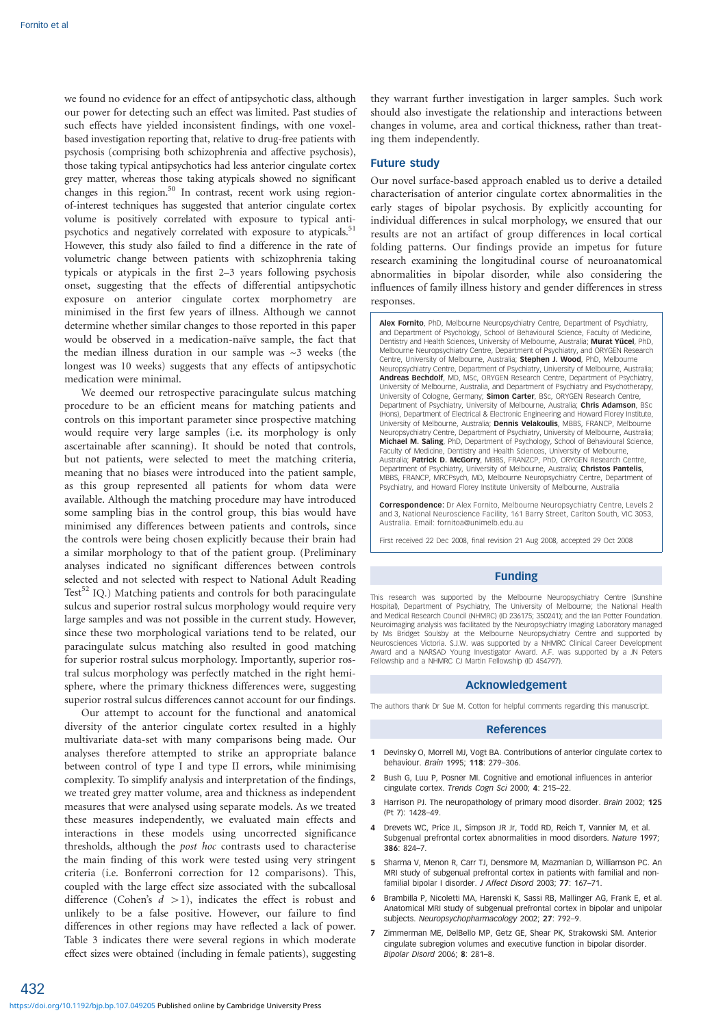we found no evidence for an effect of antipsychotic class, although our power for detecting such an effect was limited. Past studies of such effects have yielded inconsistent findings, with one voxelbased investigation reporting that, relative to drug-free patients with psychosis (comprising both schizophrenia and affective psychosis), those taking typical antipsychotics had less anterior cingulate cortex grey matter, whereas those taking atypicals showed no significant changes in this region.<sup>50</sup> In contrast, recent work using regionof-interest techniques has suggested that anterior cingulate cortex volume is positively correlated with exposure to typical antipsychotics and negatively correlated with exposure to atypicals.<sup>51</sup> However, this study also failed to find a difference in the rate of volumetric change between patients with schizophrenia taking typicals or atypicals in the first 2–3 years following psychosis onset, suggesting that the effects of differential antipsychotic exposure on anterior cingulate cortex morphometry are minimised in the first few years of illness. Although we cannot determine whether similar changes to those reported in this paper would be observed in a medication-naïve sample, the fact that the median illness duration in our sample was  $\sim$ 3 weeks (the longest was 10 weeks) suggests that any effects of antipsychotic medication were minimal.

We deemed our retrospective paracingulate sulcus matching procedure to be an efficient means for matching patients and controls on this important parameter since prospective matching would require very large samples (i.e. its morphology is only ascertainable after scanning). It should be noted that controls, but not patients, were selected to meet the matching criteria, meaning that no biases were introduced into the patient sample, as this group represented all patients for whom data were available. Although the matching procedure may have introduced some sampling bias in the control group, this bias would have minimised any differences between patients and controls, since the controls were being chosen explicitly because their brain had a similar morphology to that of the patient group. (Preliminary analyses indicated no significant differences between controls selected and not selected with respect to National Adult Reading Test<sup>52</sup> IQ.) Matching patients and controls for both paracingulate sulcus and superior rostral sulcus morphology would require very large samples and was not possible in the current study. However, since these two morphological variations tend to be related, our paracingulate sulcus matching also resulted in good matching for superior rostral sulcus morphology. Importantly, superior rostral sulcus morphology was perfectly matched in the right hemisphere, where the primary thickness differences were, suggesting superior rostral sulcus differences cannot account for our findings.

Our attempt to account for the functional and anatomical diversity of the anterior cingulate cortex resulted in a highly multivariate data-set with many comparisons being made. Our analyses therefore attempted to strike an appropriate balance between control of type I and type II errors, while minimising complexity. To simplify analysis and interpretation of the findings, we treated grey matter volume, area and thickness as independent measures that were analysed using separate models. As we treated these measures independently, we evaluated main effects and interactions in these models using uncorrected significance thresholds, although the post hoc contrasts used to characterise the main finding of this work were tested using very stringent criteria (i.e. Bonferroni correction for 12 comparisons). This, coupled with the large effect size associated with the subcallosal difference (Cohen's  $d > 1$ ), indicates the effect is robust and unlikely to be a false positive. However, our failure to find differences in other regions may have reflected a lack of power. Table 3 indicates there were several regions in which moderate effect sizes were obtained (including in female patients), suggesting

they warrant further investigation in larger samples. Such work should also investigate the relationship and interactions between changes in volume, area and cortical thickness, rather than treating them independently.

#### Future study

Our novel surface-based approach enabled us to derive a detailed characterisation of anterior cingulate cortex abnormalities in the early stages of bipolar psychosis. By explicitly accounting for individual differences in sulcal morphology, we ensured that our results are not an artifact of group differences in local cortical folding patterns. Our findings provide an impetus for future research examining the longitudinal course of neuroanatomical abnormalities in bipolar disorder, while also considering the influences of family illness history and gender differences in stress responses.

Alex Fornito, PhD, Melbourne Neuropsychiatry Centre, Department of Psychiatry, and Department of Psychology, School of Behavioural Science, Faculty of Medicine Dentistry and Health Sciences, University of Melbourne, Australia; Murat Yücel, PhD, Melbourne Neuropsychiatry Centre, Department of Psychiatry, and ORYGEN Research Centre, University of Melbourne, Australia; Stephen J. Wood, PhD, Melbourne Neuropsychiatry Centre, Department of Psychiatry, University of Melbourne, Australia; Andreas Bechdolf, MD, MSc, ORYGEN Research Centre, Department of Psychiatry, University of Melbourne, Australia, and Department of Psychiatry and Psychotherapy, University of Cologne, Germany; Simon Carter, BSc, ORYGEN Research Centre, Department of Psychiatry, University of Melbourne, Australia; **Chris Adamson**, BSc<br>(Hons), Department of Electrical & Electronic Engineering and Howard Florey Institute, University of Melbourne, Australia; Dennis Velakoulis, MBBS, FRANCP, Melbourne Neuropsychiatry Centre, Department of Psychiatry, University of Melbourne, Australia;<br>**Michael M. Saling**, PhD, Department of Psychology, School of Behavioural Science, Faculty of Medicine, Dentistry and Health Sciences, University of Melbourne, Australia; Patrick D. McGorry, MBBS, FRANZCP, PhD, ORYGEN Research Centre, Department of Psychiatry, University of Melbourne, Australia; Christos Pantelis, MBBS, FRANCP, MRCPsych, MD, Melbourne Neuropsychiatry Centre, Department of Psychiatry, and Howard Florey Institute University of Melbourne, Australia

Correspondence: Dr Alex Fornito, Melbourne Neuropsychiatry Centre, Levels 2 and 3, National Neuroscience Facility, 161 Barry Street, Carlton South, VIC 3053, Australia. Email: fornitoa@unimelb.edu.au

First received 22 Dec 2008, final revision 21 Aug 2008, accepted 29 Oct 2008

#### Funding

This research was supported by the Melbourne Neuropsychiatry Centre (Sunshine Hospital), Department of Psychiatry, The University of Melbourne; the National Health and Medical Research Council (NHMRC) (ID 236175; 350241); and the Ian Potter Foundation. Neuroimaging analysis was facilitated by the Neuropsychiatry Imaging Laboratory managed by Ms Bridget Soulsby at the Melbourne Neuropsychiatry Centre and supported by Neurosciences Victoria. S.J.W. was supported by a NHMRC Clinical Career Development Award and a NARSAD Young Investigator Award. A.F. was supported by a JN Peters Fellowship and a NHMRC CJ Martin Fellowship (ID 454797).

## Acknowledgement

The authors thank Dr Sue M. Cotton for helpful comments regarding this manuscript.

#### References

- 1 Devinsky O, Morrell MJ, Vogt BA. Contributions of anterior cingulate cortex to behaviour. Brain 1995; 118: 279–306.
- 2 Bush G, Luu P, Posner MI. Cognitive and emotional influences in anterior cingulate cortex. Trends Cogn Sci 2000; 4: 215–22.
- 3 Harrison PJ. The neuropathology of primary mood disorder. Brain 2002; 125 (Pt 7): 1428–49.
- Drevets WC, Price JL, Simpson JR Jr, Todd RD, Reich T, Vannier M, et al. Subgenual prefrontal cortex abnormalities in mood disorders. Nature 1997; 386: 824–7.
- 5 Sharma V, Menon R, Carr TJ, Densmore M, Mazmanian D, Williamson PC. An MRI study of subgenual prefrontal cortex in patients with familial and nonfamilial bipolar I disorder. J Affect Disord 2003; 77: 167–71.
- 6 Brambilla P, Nicoletti MA, Harenski K, Sassi RB, Mallinger AG, Frank E, et al. Anatomical MRI study of subgenual prefrontal cortex in bipolar and unipolar subjects. Neuropsychopharmacology 2002; 27: 792-9.
- 7 Zimmerman ME, DelBello MP, Getz GE, Shear PK, Strakowski SM. Anterior cingulate subregion volumes and executive function in bipolar disorder. Bipolar Disord 2006; 8: 281–8.

432